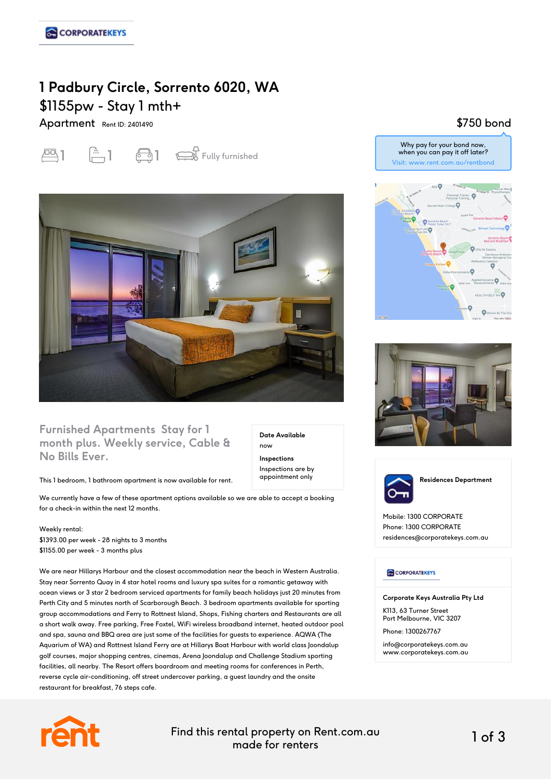# **1 Padbury Circle, Sorrento 6020, WA** \$1155pw - Stay 1 mth+

Apartment Rent ID: 2401490





#### **Furnished Apartments Stay for 1 month plus. Weekly service, Cable & No Bills Ever.**

This 1 bedroom, 1 bathroom apartment is now available for rent.

We currently have a few of these apartment options available so we are able to accept a booking for a check-in within the next 12 months.

Weekly rental: \$1393.00 per week - 28 nights to 3 months \$1155.00 per week - 3 months plus

We are near Hillarys Harbour and the closest accommodation near the beach in Western Australia. Stay near Sorrento Quay in 4 star hotel rooms and luxury spa suites for a romantic getaway with ocean views or 3 star 2 bedroom serviced apartments for family beach holidays just 20 minutes from Perth City and 5 minutes north of Scarborough Beach. 3 bedroom apartments available for sporting group accommodations and Ferry to Rottnest Island, Shops, Fishing charters and Restaurants are all a short walk away. Free parking, Free Foxtel, WiFi wireless broadband internet, heated outdoor pool and spa, sauna and BBQ area are just some of the facilities for guests to experience. AQWA (The Aquarium of WA) and Rottnest Island Ferry are at Hillarys Boat Harbour with world class Joondalup golf courses, major shopping centres, cinemas, Arena Joondalup and Challenge Stadium sporting facilities, all nearby. The Resort offers boardroom and meeting rooms for conferences in Perth, reverse cycle air-conditioning, off street undercover parking, a guest laundry and the onsite restaurant for breakfast, 76 steps cafe.











Mobile: 1300 CORPORATE Phone: 1300 CORPORATE residences@corporatekeys.com.au

#### **CORPORATEKEYS**

**Corporate Keys Australia Pty Ltd**

K113, 63 Turner Street Port Melbourne, VIC 3207

Phone: 1300267767 info@corporatekeys.com.au www.corporatekeys.com.au



Find this rental property on Rent.com.au made for renters 1 of 3

**Date Available**

now **Inspections** Inspections are by appointment only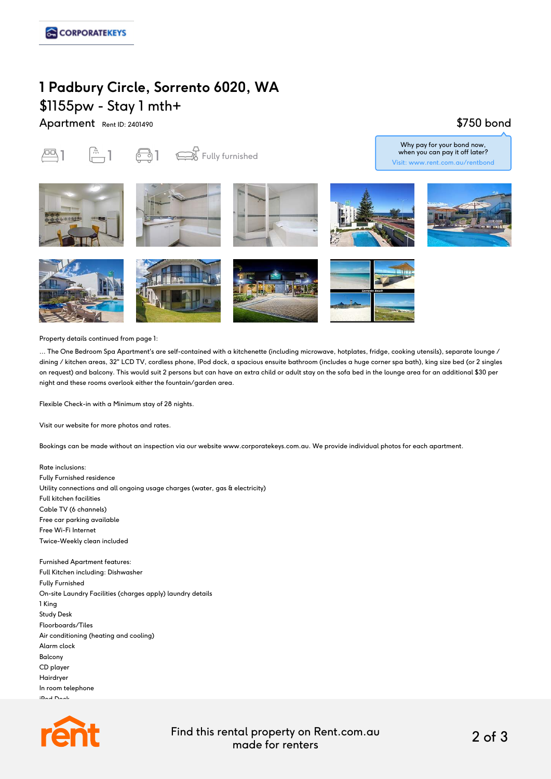## **1 Padbury Circle, Sorrento 6020, WA** \$1155pw - Stay 1 mth+

Apartment Rent ID: 2401490

### \$750 bond

 $\overline{PQ}$  1  $\overline{PQ}$  1  $\overline{PQ}$  1  $\overline{PQ}$  Fully furnished











Why pay for your bond now, when you can pay it off later? Visit: www.rent.com.au/rentbond









Property details continued from page 1:

... The One Bedroom Spa Apartment's are self-contained with a kitchenette (including microwave, hotplates, fridge, cooking utensils), separate lounge / dining / kitchen areas, 32" LCD TV, cordless phone, IPod dock, a spacious ensuite bathroom (includes a huge corner spa bath), king size bed (or 2 singles on request) and balcony. This would suit 2 persons but can have an extra child or adult stay on the sofa bed in the lounge area for an additional \$30 per night and these rooms overlook either the fountain/garden area.

Flexible Check-in with a Minimum stay of 28 nights.

Visit our website for more photos and rates.

Bookings can be made without an inspection via our website www.corporatekeys.com.au. We provide individual photos for each apartment.

Rate inclusions: Fully Furnished residence Utility connections and all ongoing usage charges (water, gas & electricity) Full kitchen facilities Cable TV (6 channels) Free car parking available Free Wi-Fi Internet Twice-Weekly clean included

Furnished Apartment features: Full Kitchen including: Dishwasher Fully Furnished On-site Laundry Facilities (charges apply) laundry details 1 King Study Desk Floorboards/Tiles Air conditioning (heating and cooling) Alarm clock Balcony CD player Hairdryer In room telephone iPod Dock



Find this rental property on Rent.com.au made for renters 2 of 3